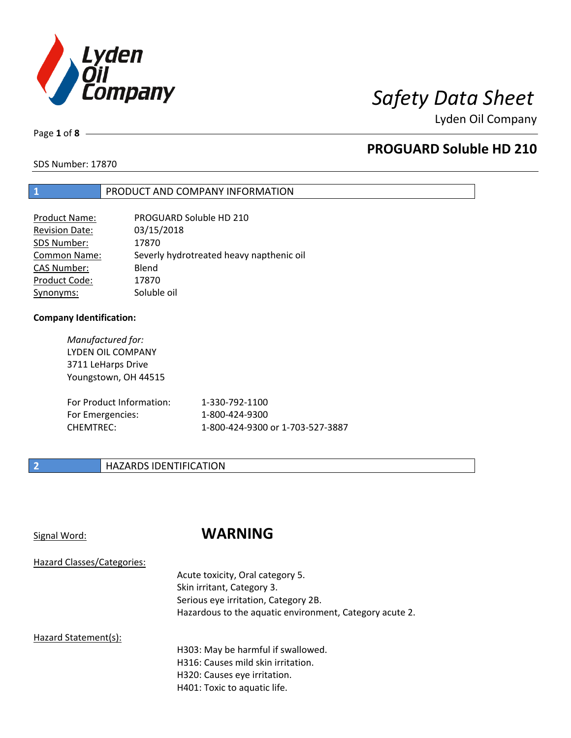

Page **1** of **8**

# **PROGUARD Soluble HD 210**

SDS Number: 17870

## **1** PRODUCT AND COMPANY INFORMATION

| Product Name:         | PROGUARD Soluble HD 210                  |
|-----------------------|------------------------------------------|
| <b>Revision Date:</b> | 03/15/2018                               |
| SDS Number:           | 17870                                    |
| <b>Common Name:</b>   | Severly hydrotreated heavy napthenic oil |
| <b>CAS Number:</b>    | Blend                                    |
| Product Code:         | 17870                                    |
| Synonyms:             | Soluble oil                              |
|                       |                                          |

## **Company Identification:**

| Manufactured for:<br>LYDEN OIL COMPANY<br>3711 LeHarps Drive<br>Youngstown, OH 44515 |                                  |
|--------------------------------------------------------------------------------------|----------------------------------|
| For Product Information:                                                             | 1-330-792-1100                   |
| For Emergencies:                                                                     | 1-800-424-9300                   |
| CHEMTREC:                                                                            | 1-800-424-9300 or 1-703-527-3887 |

## **2 HAZARDS IDENTIFICATION**

## Signal Word: **WARNING**

Acute toxicity, Oral category 5. Skin irritant, Category 3. Serious eye irritation, Category 2B. Hazardous to the aquatic environment, Category acute 2.

## Hazard Statement(s):

H303: May be harmful if swallowed. H316: Causes mild skin irritation. H320: Causes eye irritation. H401: Toxic to aquatic life.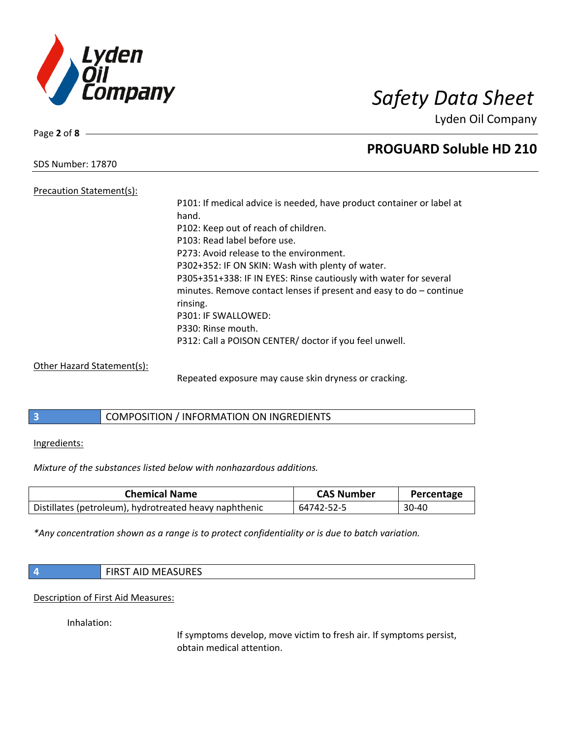

Page **2** of **8**

# **PROGUARD Soluble HD 210**

SDS Number: 17870

Precaution Statement(s): hand.

P101: If medical advice is needed, have product container or label at P102: Keep out of reach of children. P103: Read label before use. P273: Avoid release to the environment. P302+352: IF ON SKIN: Wash with plenty of water. P305+351+338: IF IN EYES: Rinse cautiously with water for several minutes. Remove contact lenses if present and easy to do – continue rinsing. P301: IF SWALLOWED: P330: Rinse mouth. P312: Call a POISON CENTER/ doctor if you feel unwell.

Other Hazard Statement(s):

Repeated exposure may cause skin dryness or cracking.

**3** COMPOSITION / INFORMATION ON INGREDIENTS

Ingredients:

*Mixture of the substances listed below with nonhazardous additions.*

| <b>Chemical Name</b>                                   | <b>CAS Number</b> | Percentage |
|--------------------------------------------------------|-------------------|------------|
| Distillates (petroleum), hydrotreated heavy naphthenic | 64742-52-5        | $30-40$    |

*\*Any concentration shown as a range is to protect confidentiality or is due to batch variation.*

| $\vert$ 4 | <b>FIRST AID MEASURES</b> |
|-----------|---------------------------|
|-----------|---------------------------|

Description of First Aid Measures:

Inhalation:

If symptoms develop, move victim to fresh air. If symptoms persist, obtain medical attention.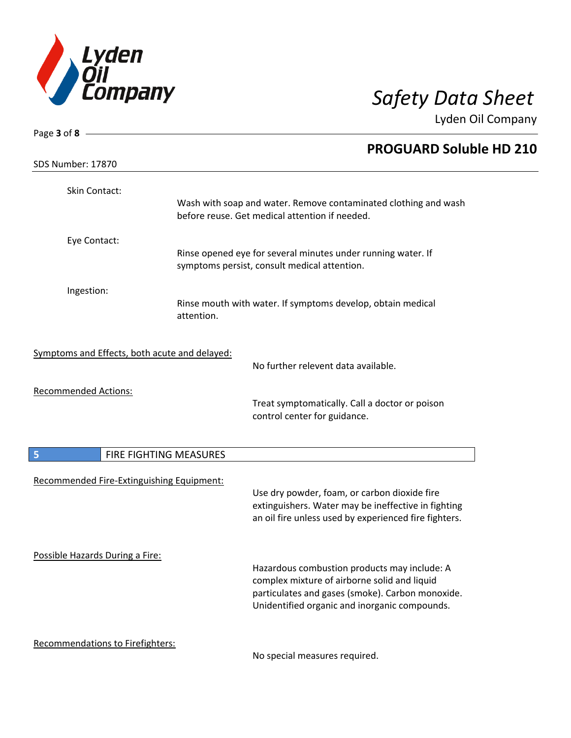

| Page 3 of 8 -                                 |                                                                           |
|-----------------------------------------------|---------------------------------------------------------------------------|
|                                               | <b>PROGUARD Soluble HD 210</b>                                            |
| SDS Number: 17870                             |                                                                           |
| Skin Contact:                                 |                                                                           |
|                                               | Wash with soap and water. Remove contaminated clothing and wash           |
|                                               | before reuse. Get medical attention if needed.                            |
| Eye Contact:                                  |                                                                           |
|                                               | Rinse opened eye for several minutes under running water. If              |
|                                               | symptoms persist, consult medical attention.                              |
| Ingestion:                                    |                                                                           |
|                                               | Rinse mouth with water. If symptoms develop, obtain medical<br>attention. |
|                                               |                                                                           |
| Symptoms and Effects, both acute and delayed: | No further relevent data available.                                       |
| <b>Recommended Actions:</b>                   |                                                                           |
|                                               | Treat symptomatically. Call a doctor or poison                            |
|                                               | control center for guidance.                                              |
|                                               |                                                                           |
| 5                                             | FIRE FIGHTING MEASURES                                                    |
| Recommended Fire-Extinguishing Equipment:     |                                                                           |
|                                               | Use dry powder, foam, or carbon dioxide fire                              |
|                                               | extinguishers. Water may be ineffective in fighting                       |
|                                               | an oil fire unless used by experienced fire fighters.                     |
|                                               |                                                                           |
| Possible Hazards During a Fire:               | Hazardous combustion products may include: A                              |
|                                               | complex mixture of airborne solid and liquid                              |
|                                               | particulates and gases (smoke). Carbon monoxide.                          |
|                                               | Unidentified organic and inorganic compounds.                             |
| Recommendations to Firefighters:              |                                                                           |
|                                               | No special measures required.                                             |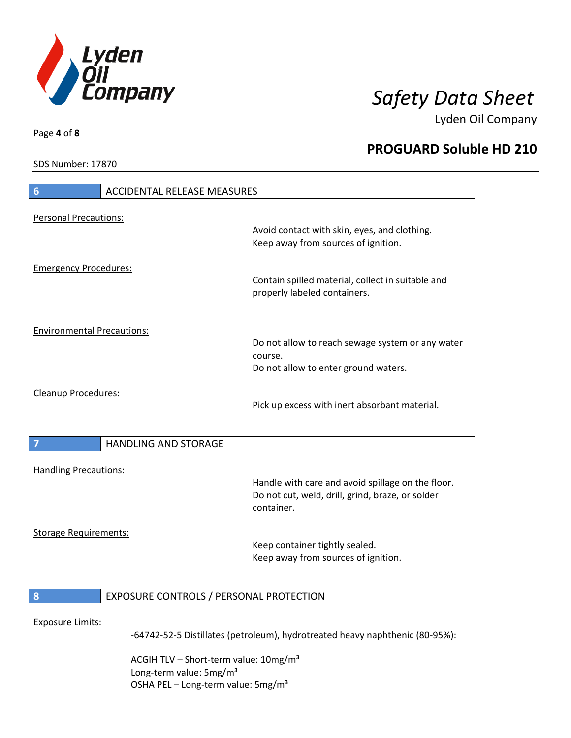

**PROGUARD Soluble HD 210**

Lyden Oil Company

SDS Number: 17870

Page **4** of **8**

# **6** ACCIDENTAL RELEASE MEASURES Personal Precautions: Avoid contact with skin, eyes, and clothing. Keep away from sources of ignition. Emergency Procedures: Contain spilled material, collect in suitable and properly labeled containers. Environmental Precautions: Do not allow to reach sewage system or any water course. Do not allow to enter ground waters. Cleanup Procedures: Pick up excess with inert absorbant material. **7 HANDLING AND STORAGE** Handling Precautions: Handle with care and avoid spillage on the floor. Do not cut, weld, drill, grind, braze, or solder container. Storage Requirements: Keep container tightly sealed. Keep away from sources of ignition. **8** EXPOSURE CONTROLS / PERSONAL PROTECTION Exposure Limits: -64742-52-5 Distillates (petroleum), hydrotreated heavy naphthenic (80-95%):

ACGIH TLV – Short-term value:  $10\,\text{mg/m}^3$ Long-term value: 5mg/m<sup>3</sup> OSHA PEL – Long-term value:  $5mg/m<sup>3</sup>$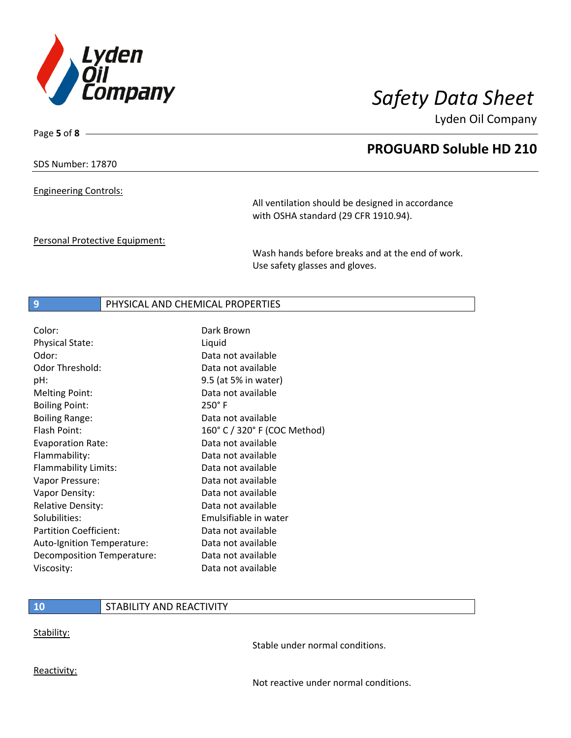

Page **5** of **8**

# **PROGUARD Soluble HD 210**

SDS Number: 17870

Engineering Controls:

All ventilation should be designed in accordance with OSHA standard (29 CFR 1910.94).

Personal Protective Equipment:

Wash hands before breaks and at the end of work. Use safety glasses and gloves.

## **9** PHYSICAL AND CHEMICAL PROPERTIES

| Color:                        | Dark Brown                   |
|-------------------------------|------------------------------|
| <b>Physical State:</b>        | Liquid                       |
| Odor:                         | Data not available           |
| Odor Threshold:               | Data not available           |
| pH:                           | 9.5 (at 5% in water)         |
| <b>Melting Point:</b>         | Data not available           |
| <b>Boiling Point:</b>         | $250^\circ$ F                |
| <b>Boiling Range:</b>         | Data not available           |
| Flash Point:                  | 160° C / 320° F (COC Method) |
| <b>Evaporation Rate:</b>      | Data not available           |
| Flammability:                 | Data not available           |
| Flammability Limits:          | Data not available           |
| Vapor Pressure:               | Data not available           |
| Vapor Density:                | Data not available           |
| <b>Relative Density:</b>      | Data not available           |
| Solubilities:                 | Emulsifiable in water        |
| <b>Partition Coefficient:</b> | Data not available           |
| Auto-Ignition Temperature:    | Data not available           |
| Decomposition Temperature:    | Data not available           |
| Viscosity:                    | Data not available           |

## **10** STABILITY AND REACTIVITY

Stability:

Stable under normal conditions.

Reactivity:

Not reactive under normal conditions.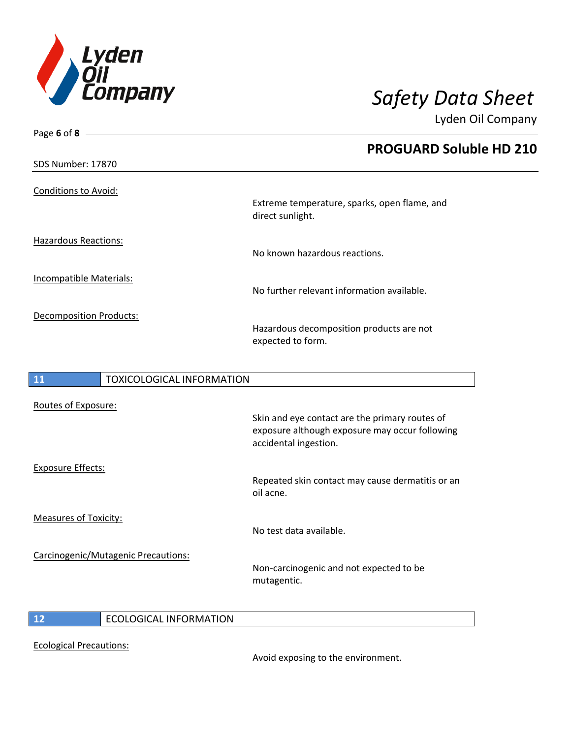

| Page 6 of 8                            |                                                                                                                           |
|----------------------------------------|---------------------------------------------------------------------------------------------------------------------------|
|                                        | <b>PROGUARD Soluble HD 210</b>                                                                                            |
| SDS Number: 17870                      |                                                                                                                           |
| <b>Conditions to Avoid:</b>            | Extreme temperature, sparks, open flame, and<br>direct sunlight.                                                          |
| <b>Hazardous Reactions:</b>            |                                                                                                                           |
|                                        | No known hazardous reactions.                                                                                             |
| Incompatible Materials:                | No further relevant information available.                                                                                |
| Decomposition Products:                | Hazardous decomposition products are not<br>expected to form.                                                             |
| 11<br><b>TOXICOLOGICAL INFORMATION</b> |                                                                                                                           |
| Routes of Exposure:                    |                                                                                                                           |
|                                        | Skin and eye contact are the primary routes of<br>exposure although exposure may occur following<br>accidental ingestion. |
| <b>Exposure Effects:</b>               |                                                                                                                           |

Repeated skin contact may cause dermatitis or an oil acne.

Measures of Toxicity:

Carcinogenic/Mutagenic Precautions:

Non-carcinogenic and not expected to be mutagentic.

No test data available.

**12** ECOLOGICAL INFORMATION

Ecological Precautions:

Avoid exposing to the environment.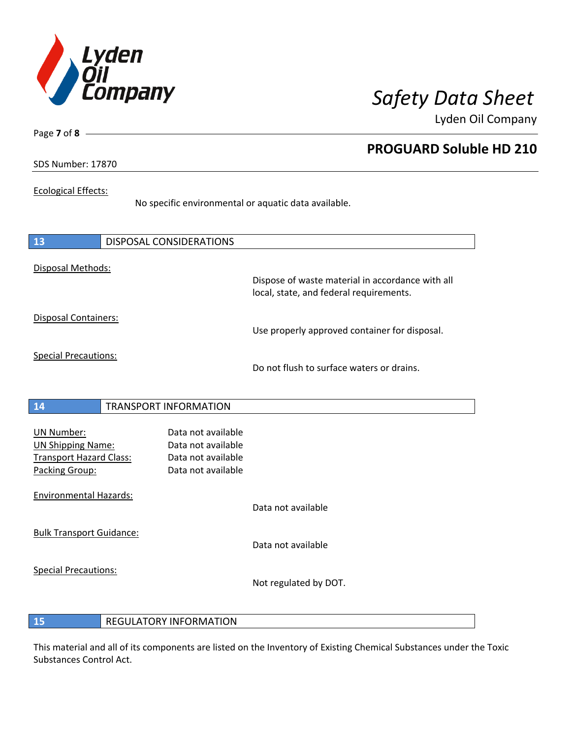

**PROGUARD Soluble HD 210**

Lyden Oil Company

SDS Number: 17870

Page **7** of **8**

## Ecological Effects:

No specific environmental or aquatic data available.

| 13                                                                                                | <b>DISPOSAL CONSIDERATIONS</b>                                                       |                                                                                             |
|---------------------------------------------------------------------------------------------------|--------------------------------------------------------------------------------------|---------------------------------------------------------------------------------------------|
| Disposal Methods:                                                                                 |                                                                                      | Dispose of waste material in accordance with all<br>local, state, and federal requirements. |
| <b>Disposal Containers:</b>                                                                       |                                                                                      | Use properly approved container for disposal.                                               |
| <b>Special Precautions:</b>                                                                       |                                                                                      | Do not flush to surface waters or drains.                                                   |
| 14                                                                                                | <b>TRANSPORT INFORMATION</b>                                                         |                                                                                             |
| <b>UN Number:</b><br><b>UN Shipping Name:</b><br><b>Transport Hazard Class:</b><br>Packing Group: | Data not available<br>Data not available<br>Data not available<br>Data not available |                                                                                             |
| <b>Environmental Hazards:</b>                                                                     |                                                                                      | Data not available                                                                          |
| <b>Bulk Transport Guidance:</b>                                                                   |                                                                                      | Data not available                                                                          |
| <b>Special Precautions:</b>                                                                       |                                                                                      | Not regulated by DOT.                                                                       |

**15** REGULATORY INFORMATION

This material and all of its components are listed on the Inventory of Existing Chemical Substances under the Toxic Substances Control Act.